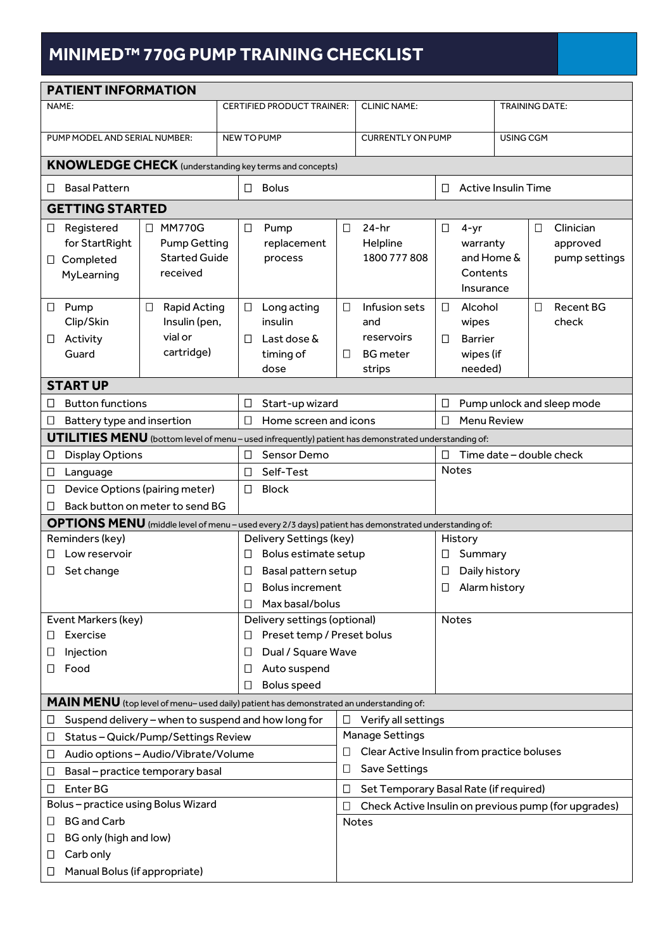## **MINIMED™ 770G PUMP TRAINING CHECKLIST**

| <b>PATIENT INFORMATION</b>                                                                           |                                                                     |  |                                                                                                      |                                                                |                                                                 |                                                               |                                                             |       |                       |                                        |  |  |
|------------------------------------------------------------------------------------------------------|---------------------------------------------------------------------|--|------------------------------------------------------------------------------------------------------|----------------------------------------------------------------|-----------------------------------------------------------------|---------------------------------------------------------------|-------------------------------------------------------------|-------|-----------------------|----------------------------------------|--|--|
| NAME:                                                                                                |                                                                     |  | <b>CERTIFIED PRODUCT TRAINER:</b>                                                                    |                                                                | <b>CLINIC NAME:</b>                                             |                                                               |                                                             |       | <b>TRAINING DATE:</b> |                                        |  |  |
| PUMP MODEL AND SERIAL NUMBER:                                                                        |                                                                     |  | <b>NEW TO PUMP</b>                                                                                   |                                                                | <b>CURRENTLY ON PUMP</b>                                        |                                                               |                                                             |       | USING CGM             |                                        |  |  |
| <b>KNOWLEDGE CHECK</b> (understanding key terms and concepts)                                        |                                                                     |  |                                                                                                      |                                                                |                                                                 |                                                               |                                                             |       |                       |                                        |  |  |
| <b>Basal Pattern</b><br>Ш                                                                            |                                                                     |  | <b>Bolus</b><br>Ш                                                                                    |                                                                |                                                                 | <b>Active Insulin Time</b><br>$\perp$                         |                                                             |       |                       |                                        |  |  |
| <b>GETTING STARTED</b>                                                                               |                                                                     |  |                                                                                                      |                                                                |                                                                 |                                                               |                                                             |       |                       |                                        |  |  |
| Registered<br>Ц<br>for StartRight<br>□ Completed<br>MyLearning                                       | □ MM770G<br><b>Pump Getting</b><br><b>Started Guide</b><br>received |  | □<br>Pump<br>replacement<br>process                                                                  | $\Box$                                                         | 24-hr<br>Helpline<br>1800 777 808                               | $\Box$                                                        | $4 - yr$<br>warranty<br>and Home &<br>Contents<br>Insurance |       | $\Box$                | Clinician<br>approved<br>pump settings |  |  |
| □<br>Pump<br>Clip/Skin<br>Activity<br>Ш<br>Guard<br><b>START UP</b>                                  | Rapid Acting<br>□<br>Insulin (pen,<br>vial or<br>cartridge)         |  | Long acting<br>$\Box$<br>insulin<br>Last dose &<br>□<br>timing of<br>dose                            | $\Box$<br>$\Box$                                               | Infusion sets<br>and<br>reservoirs<br><b>BG</b> meter<br>strips | $\Box$<br>$\Box$                                              | Alcohol<br>wipes<br><b>Barrier</b><br>wipes (if<br>needed)  |       | $\Box$                | <b>Recent BG</b><br>check              |  |  |
| <b>Button functions</b>                                                                              |                                                                     |  | Start-up wizard                                                                                      |                                                                |                                                                 |                                                               |                                                             |       |                       |                                        |  |  |
| $\Box$<br>Battery type and insertion<br>⊔                                                            |                                                                     |  | Ц<br>$\Box$<br>Home screen and icons                                                                 |                                                                |                                                                 | Pump unlock and sleep mode<br>$\Box$<br>$\Box$<br>Menu Review |                                                             |       |                       |                                        |  |  |
|                                                                                                      |                                                                     |  | UTILITIES MENU (bottom level of menu - used infrequently) patient has demonstrated understanding of: |                                                                |                                                                 |                                                               |                                                             |       |                       |                                        |  |  |
| <b>Display Options</b><br>□                                                                          |                                                                     |  | Sensor Demo<br>□                                                                                     |                                                                |                                                                 |                                                               | Time date - double check<br>$\perp$                         |       |                       |                                        |  |  |
| Language<br>□                                                                                        |                                                                     |  | Self-Test<br>$\Box$                                                                                  |                                                                |                                                                 |                                                               | <b>Notes</b>                                                |       |                       |                                        |  |  |
| Device Options (pairing meter)<br>$\Box$                                                             |                                                                     |  | $\Box$<br><b>Block</b>                                                                               |                                                                |                                                                 |                                                               |                                                             |       |                       |                                        |  |  |
| Back button on meter to send BG<br>Ц                                                                 |                                                                     |  |                                                                                                      |                                                                |                                                                 |                                                               |                                                             |       |                       |                                        |  |  |
| OPTIONS MENU (middle level of menu - used every 2/3 days) patient has demonstrated understanding of: |                                                                     |  |                                                                                                      |                                                                |                                                                 |                                                               |                                                             |       |                       |                                        |  |  |
| Reminders (key)                                                                                      |                                                                     |  | Delivery Settings (key)                                                                              |                                                                |                                                                 |                                                               | History                                                     |       |                       |                                        |  |  |
| Low reservoir<br>$\sqcup$                                                                            |                                                                     |  | Ш                                                                                                    | Bolus estimate setup                                           |                                                                 |                                                               | Summary<br>$\Box$                                           |       |                       |                                        |  |  |
| Set change<br>Ц                                                                                      |                                                                     |  | Ц                                                                                                    | Basal pattern setup                                            |                                                                 |                                                               | Daily history<br>⊔                                          |       |                       |                                        |  |  |
|                                                                                                      |                                                                     |  | □                                                                                                    | <b>Bolus increment</b>                                         |                                                                 |                                                               | Alarm history<br>$\Box$                                     |       |                       |                                        |  |  |
|                                                                                                      |                                                                     |  | П                                                                                                    | Max basal/bolus<br>Delivery settings (optional)                |                                                                 |                                                               |                                                             | Notes |                       |                                        |  |  |
| Event Markers (key)<br>Exercise<br>ப                                                                 |                                                                     |  | ⊔                                                                                                    | Preset temp / Preset bolus                                     |                                                                 |                                                               |                                                             |       |                       |                                        |  |  |
| Injection<br>ப                                                                                       |                                                                     |  | ⊔                                                                                                    | Dual / Square Wave                                             |                                                                 |                                                               |                                                             |       |                       |                                        |  |  |
| Food<br>Ш                                                                                            |                                                                     |  | Auto suspend<br>⊔                                                                                    |                                                                |                                                                 |                                                               |                                                             |       |                       |                                        |  |  |
|                                                                                                      |                                                                     |  | <b>Bolus speed</b><br>⊔                                                                              |                                                                |                                                                 |                                                               |                                                             |       |                       |                                        |  |  |
| MAIN MENU (top level of menu- used daily) patient has demonstrated an understanding of:              |                                                                     |  |                                                                                                      |                                                                |                                                                 |                                                               |                                                             |       |                       |                                        |  |  |
| Suspend delivery - when to suspend and how long for<br>Ц                                             |                                                                     |  |                                                                                                      |                                                                | $\Box$<br>Verify all settings                                   |                                                               |                                                             |       |                       |                                        |  |  |
| Status - Quick/Pump/Settings Review<br>ப                                                             |                                                                     |  |                                                                                                      | <b>Manage Settings</b>                                         |                                                                 |                                                               |                                                             |       |                       |                                        |  |  |
| Audio options - Audio/Vibrate/Volume<br>□                                                            |                                                                     |  |                                                                                                      | Clear Active Insulin from practice boluses<br>⊔                |                                                                 |                                                               |                                                             |       |                       |                                        |  |  |
| Basal - practice temporary basal<br>⊔                                                                |                                                                     |  |                                                                                                      | Save Settings<br>⊔                                             |                                                                 |                                                               |                                                             |       |                       |                                        |  |  |
| Enter BG<br>⊔                                                                                        |                                                                     |  |                                                                                                      | Set Temporary Basal Rate (if required)<br>□                    |                                                                 |                                                               |                                                             |       |                       |                                        |  |  |
| Bolus-practice using Bolus Wizard                                                                    |                                                                     |  |                                                                                                      | Check Active Insulin on previous pump (for upgrades)<br>$\Box$ |                                                                 |                                                               |                                                             |       |                       |                                        |  |  |
| <b>BG</b> and Carb<br>⊔                                                                              |                                                                     |  |                                                                                                      | Notes                                                          |                                                                 |                                                               |                                                             |       |                       |                                        |  |  |
| BG only (high and low)<br>⊔<br>Carb only                                                             |                                                                     |  |                                                                                                      |                                                                |                                                                 |                                                               |                                                             |       |                       |                                        |  |  |
| ப                                                                                                    |                                                                     |  |                                                                                                      |                                                                |                                                                 |                                                               |                                                             |       |                       |                                        |  |  |
| Manual Bolus (if appropriate)<br>⊔                                                                   |                                                                     |  |                                                                                                      |                                                                |                                                                 |                                                               |                                                             |       |                       |                                        |  |  |